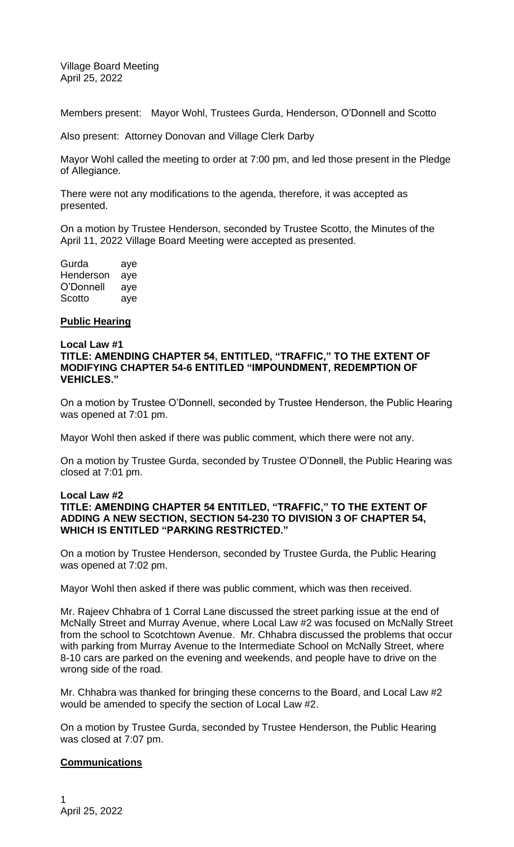Village Board Meeting April 25, 2022

Members present: Mayor Wohl, Trustees Gurda, Henderson, O'Donnell and Scotto

Also present: Attorney Donovan and Village Clerk Darby

Mayor Wohl called the meeting to order at 7:00 pm, and led those present in the Pledge of Allegiance.

There were not any modifications to the agenda, therefore, it was accepted as presented.

On a motion by Trustee Henderson, seconded by Trustee Scotto, the Minutes of the April 11, 2022 Village Board Meeting were accepted as presented.

| Gurda     | aye |
|-----------|-----|
| Henderson | aye |
| O'Donnell | aye |
| Scotto    | aye |

#### **Public Hearing**

#### **Local Law #1 TITLE: AMENDING CHAPTER 54, ENTITLED, "TRAFFIC," TO THE EXTENT OF MODIFYING CHAPTER 54-6 ENTITLED "IMPOUNDMENT, REDEMPTION OF VEHICLES."**

On a motion by Trustee O'Donnell, seconded by Trustee Henderson, the Public Hearing was opened at 7:01 pm.

Mayor Wohl then asked if there was public comment, which there were not any.

On a motion by Trustee Gurda, seconded by Trustee O'Donnell, the Public Hearing was closed at 7:01 pm.

#### **Local Law #2 TITLE: AMENDING CHAPTER 54 ENTITLED, "TRAFFIC," TO THE EXTENT OF ADDING A NEW SECTION, SECTION 54-230 TO DIVISION 3 OF CHAPTER 54, WHICH IS ENTITLED "PARKING RESTRICTED."**

On a motion by Trustee Henderson, seconded by Trustee Gurda, the Public Hearing was opened at 7:02 pm.

Mayor Wohl then asked if there was public comment, which was then received.

Mr. Rajeev Chhabra of 1 Corral Lane discussed the street parking issue at the end of McNally Street and Murray Avenue, where Local Law #2 was focused on McNally Street from the school to Scotchtown Avenue. Mr. Chhabra discussed the problems that occur with parking from Murray Avenue to the Intermediate School on McNally Street, where 8-10 cars are parked on the evening and weekends, and people have to drive on the wrong side of the road.

Mr. Chhabra was thanked for bringing these concerns to the Board, and Local Law #2 would be amended to specify the section of Local Law #2.

On a motion by Trustee Gurda, seconded by Trustee Henderson, the Public Hearing was closed at 7:07 pm.

# **Communications**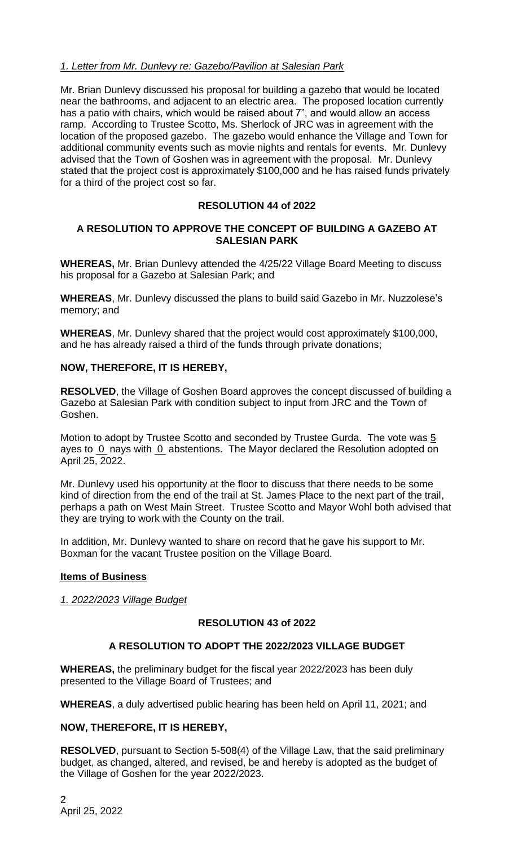# *1. Letter from Mr. Dunlevy re: Gazebo/Pavilion at Salesian Park*

Mr. Brian Dunlevy discussed his proposal for building a gazebo that would be located near the bathrooms, and adjacent to an electric area. The proposed location currently has a patio with chairs, which would be raised about 7", and would allow an access ramp. According to Trustee Scotto, Ms. Sherlock of JRC was in agreement with the location of the proposed gazebo. The gazebo would enhance the Village and Town for additional community events such as movie nights and rentals for events. Mr. Dunlevy advised that the Town of Goshen was in agreement with the proposal. Mr. Dunlevy stated that the project cost is approximately \$100,000 and he has raised funds privately for a third of the project cost so far.

# **RESOLUTION 44 of 2022**

# **A RESOLUTION TO APPROVE THE CONCEPT OF BUILDING A GAZEBO AT SALESIAN PARK**

**WHEREAS,** Mr. Brian Dunlevy attended the 4/25/22 Village Board Meeting to discuss his proposal for a Gazebo at Salesian Park; and

**WHEREAS**, Mr. Dunlevy discussed the plans to build said Gazebo in Mr. Nuzzolese's memory; and

**WHEREAS**, Mr. Dunlevy shared that the project would cost approximately \$100,000, and he has already raised a third of the funds through private donations;

### **NOW, THEREFORE, IT IS HEREBY,**

**RESOLVED**, the Village of Goshen Board approves the concept discussed of building a Gazebo at Salesian Park with condition subject to input from JRC and the Town of Goshen.

Motion to adopt by Trustee Scotto and seconded by Trustee Gurda. The vote was 5 ayes to 0 nays with 0 abstentions. The Mayor declared the Resolution adopted on April 25, 2022.

Mr. Dunlevy used his opportunity at the floor to discuss that there needs to be some kind of direction from the end of the trail at St. James Place to the next part of the trail, perhaps a path on West Main Street. Trustee Scotto and Mayor Wohl both advised that they are trying to work with the County on the trail.

In addition, Mr. Dunlevy wanted to share on record that he gave his support to Mr. Boxman for the vacant Trustee position on the Village Board.

#### **Items of Business**

*1. 2022/2023 Village Budget*

#### **RESOLUTION 43 of 2022**

# **A RESOLUTION TO ADOPT THE 2022/2023 VILLAGE BUDGET**

**WHEREAS,** the preliminary budget for the fiscal year 2022/2023 has been duly presented to the Village Board of Trustees; and

**WHEREAS**, a duly advertised public hearing has been held on April 11, 2021; and

# **NOW, THEREFORE, IT IS HEREBY,**

**RESOLVED**, pursuant to Section 5-508(4) of the Village Law, that the said preliminary budget, as changed, altered, and revised, be and hereby is adopted as the budget of the Village of Goshen for the year 2022/2023.